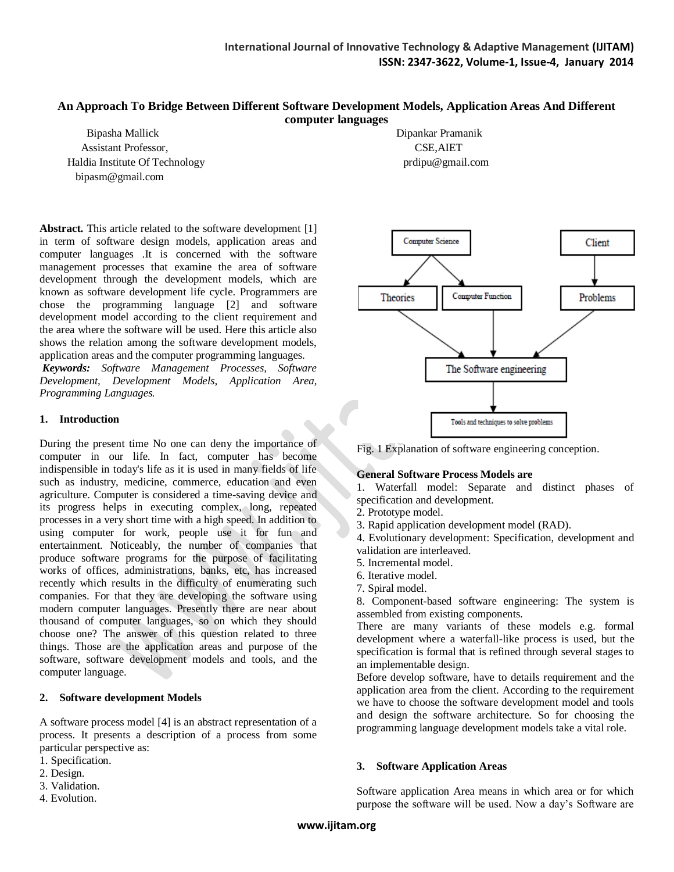#### **An Approach To Bridge Between Different Software Development Models, Application Areas And Different computer languages**

 Bipasha Mallick Dipankar Pramanik Assistant Professor, CSE,AIET Haldia Institute Of Technology **provides** provide provide provide provide provide provide provide provide provide provide provide provide provide provide provide provide provide provide provide provide provide provide prov bipasm@gmail.com

**Abstract.** This article related to the software development [1] in term of software design models, application areas and computer languages .It is concerned with the software management processes that examine the area of software development through the development models, which are known as software development life cycle. Programmers are chose the programming language [2] and software development model according to the client requirement and the area where the software will be used. Here this article also shows the relation among the software development models, application areas and the computer programming languages.

*Keywords: Software Management Processes, Software Development, Development Models, Application Area, Programming Languages.* 

#### **1. Introduction**

During the present time No one can deny the importance of computer in our life. In fact, computer has become indispensible in today's life as it is used in many fields of life such as industry, medicine, commerce, education and even agriculture. Computer is considered a time-saving device and its progress helps in executing complex, long, repeated processes in a very short time with a high speed. In addition to using computer for work, people use it for fun and entertainment. Noticeably, the number of companies that produce software programs for the purpose of facilitating works of offices, administrations, banks, etc, has increased recently which results in the difficulty of enumerating such companies. For that they are developing the software using modern computer languages. Presently there are near about thousand of computer languages, so on which they should choose one? The answer of this question related to three things. Those are the application areas and purpose of the software, software development models and tools, and the computer language.

## **2. Software development Models**

A software process model [4] is an abstract representation of a process. It presents a description of a process from some particular perspective as:

- 1. Specification.
- 2. Design.
- 3. Validation.
- 4. Evolution.



Fig. 1 Explanation of software engineering conception.

## **General Software Process Models are**

1. Waterfall model: Separate and distinct phases of specification and development.

- 2. Prototype model.
- 3. Rapid application development model (RAD).
- 4. Evolutionary development: Specification, development and validation are interleaved.
- 5. Incremental model.
- 6. Iterative model.
- 7. Spiral model.

8. Component-based software engineering: The system is assembled from existing components.

There are many variants of these models e.g. formal development where a waterfall-like process is used, but the specification is formal that is refined through several stages to an implementable design.

Before develop software, have to details requirement and the application area from the client. According to the requirement we have to choose the software development model and tools and design the software architecture. So for choosing the programming language development models take a vital role.

## **3. Software Application Areas**

Software application Area means in which area or for which purpose the software will be used. Now a day's Software are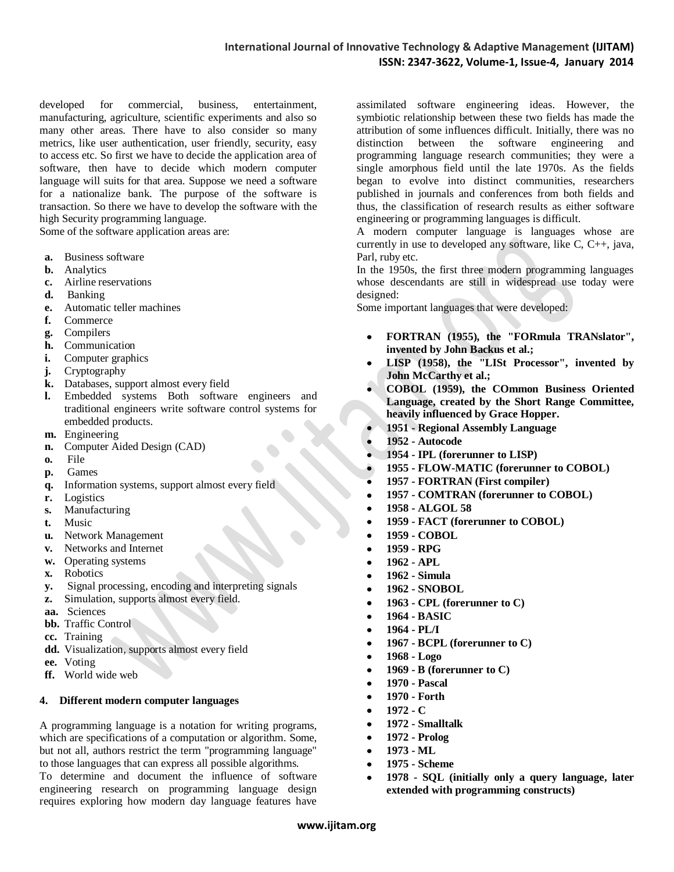developed for commercial, business, entertainment, manufacturing, agriculture, scientific experiments and also so many other areas. There have to also consider so many metrics, like user authentication, user friendly, security, easy to access etc. So first we have to decide the application area of software, then have to decide which modern computer language will suits for that area. Suppose we need a software for a nationalize bank. The purpose of the software is transaction. So there we have to develop the software with the high Security programming language.

Some of the software application areas are:

- **a.** [Business software](http://en.wikipedia.org/wiki/Business_software)
- **b.** [Analytics](http://en.wikipedia.org/wiki/Analytics)
- **c.** [Airline](http://en.wikipedia.org/wiki/Airline) reservations
- **d.** [Banking](http://en.wikipedia.org/wiki/Banking)
- **e.** [Automatic teller machines](http://en.wikipedia.org/wiki/Automatic_Teller_Machine)
- **f.** [Commerce](http://en.wikipedia.org/wiki/Commerce)
- **g.** [Compilers](http://en.wikipedia.org/wiki/Compiler)
- **h.** [Communication](http://en.wikipedia.org/wiki/Communication)
- **i.** [Computer graphics](http://en.wikipedia.org/wiki/Computer_graphics)
- **j.** [Cryptography](http://en.wikipedia.org/wiki/Cryptography)
- **k.** [Databases,](http://en.wikipedia.org/wiki/Database) support almost every field
- **l.** [Embedded systems](http://en.wikipedia.org/wiki/Embedded_systems) Both software engineers and traditional engineers write software control systems for embedded products.
- **m.** [Engineering](http://en.wikipedia.org/wiki/Engineering)
- **n.** [Computer Aided Design \(CAD\)](http://en.wikipedia.org/wiki/CAD)
- **o.** [File](http://en.wikipedia.org/wiki/Computer_file)
- **p.** [Games](http://en.wikipedia.org/wiki/Game)
- **q.** [Information systems,](http://en.wikipedia.org/wiki/Information_systems) support almost every field
- **r.** [Logistics](http://en.wikipedia.org/wiki/Logistics)
- **s.** [Manufacturing](http://en.wikipedia.org/wiki/Manufacturing)
- **t.** [Music](http://en.wikipedia.org/wiki/Music)
- **u.** [Network Management](http://en.wikipedia.org/wiki/Network_Management)
- **v.** [Networks](http://en.wikipedia.org/wiki/Computer_network) and [Internet](http://en.wikipedia.org/wiki/Internet)
- **w.** [Operating systems](http://en.wikipedia.org/wiki/Operating_system)
- **x.** [Robotics](http://en.wikipedia.org/wiki/Robotics)
- **y.** [Signal processing,](http://en.wikipedia.org/wiki/Signal_processing) encoding and interpreting signals
- **z.** [Simulation,](http://en.wikipedia.org/wiki/Computer_simulation) supports almost every field.
- **aa.** [Sciences](http://en.wikipedia.org/wiki/Science)
- **bb.** Traffic Control
- **cc.** [Training](http://en.wikipedia.org/wiki/Training)
- **dd.** [Visualization,](http://en.wikipedia.org/wiki/Spatial_Visualization_Ability) supports almost every field
- **ee.** [Voting](http://en.wikipedia.org/wiki/Electronic_voting)
- **ff.** [World wide web](http://en.wikipedia.org/wiki/World_wide_web)

#### **4. Different modern computer languages**

A programming language is a notation for writing [programs,](http://en.wikipedia.org/wiki/Computer_program) which are specifications of a computation or [algorithm.](http://en.wikipedia.org/wiki/Algorithm) Some, but not all, authors restrict the term "programming language" to those languages that can express all possible algorithms.

To determine and document the influence of software engineering research on programming language design requires exploring how modern day language features have

assimilated software engineering ideas. However, the symbiotic relationship between these two fields has made the attribution of some influences difficult. Initially, there was no distinction between the software engineering and programming language research communities; they were a single amorphous field until the late 1970s. As the fields began to evolve into distinct communities, researchers published in journals and conferences from both fields and thus, the classification of research results as either software engineering or programming languages is difficult.

A modern computer language is [languages](http://en.wikipedia.org/wiki/Human_language) whose are currently in use to developed any software, like  $C, C_{++}$ , java, Parl, ruby etc.

In the 1950s, the first three modern programming languages whose descendants are still in widespread use today were designed:

Some important languages that were developed:

- **[FORTRAN](http://en.wikipedia.org/wiki/Fortran) (1955), the "FORmula TRANslator", invented b[y John Backus](http://en.wikipedia.org/wiki/John_Backus) et al.;**
- **[LISP](http://en.wikipedia.org/wiki/Lisp_%28programming_language%29) (1958), the "LISt Processor", invented by [John McCarthy](http://en.wikipedia.org/wiki/John_McCarthy_%28computer_scientist%29) et al.;**
- **[COBOL](http://en.wikipedia.org/wiki/COBOL) (1959), the COmmon Business Oriented Language, created by the Short Range Committee, heavily influenced by [Grace Hopper.](http://en.wikipedia.org/wiki/Grace_Hopper)**
- **1951 - [Regional Assembly Language](http://en.wikipedia.org/w/index.php?title=Regional_Assembly_Language&action=edit&redlink=1)**
- **1952 - [Autocode](http://en.wikipedia.org/wiki/Autocode)**
- **1954 - [IPL](http://en.wikipedia.org/wiki/Information_Processing_Language) (forerunner to LISP)**
- **1955 - [FLOW-MATIC](http://en.wikipedia.org/wiki/FLOW-MATIC) (forerunner to COBOL)**
- **1957 - [FORTRAN](http://en.wikipedia.org/wiki/Fortran) (First compiler)**
- **1957 - [COMTRAN](http://en.wikipedia.org/wiki/COMTRAN) (forerunner to COBOL)**
- **1958 - [ALGOL 58](http://en.wikipedia.org/wiki/ALGOL_58)**
- **1959 - [FACT](http://en.wikipedia.org/wiki/FACT_computer_language) (forerunner to COBOL)**
- **1959 - [COBOL](http://en.wikipedia.org/wiki/COBOL)**
- **1959 - [RPG](http://en.wikipedia.org/wiki/IBM_RPG)**
- **1962 - [APL](http://en.wikipedia.org/wiki/APL_%28programming_language%29)**
- **1962 - [Simula](http://en.wikipedia.org/wiki/Simula)**
- **1962 - [SNOBOL](http://en.wikipedia.org/wiki/SNOBOL)**
- $\bullet$ **1963 - [CPL](http://en.wikipedia.org/wiki/Combined_Programming_Language) (forerunner to C)**
- **1964 - [BASIC](http://en.wikipedia.org/wiki/BASIC)**
- **1964 - [PL/I](http://en.wikipedia.org/wiki/PL/I)**  $\bullet$
- $\bullet$ **1967 - [BCPL](http://en.wikipedia.org/wiki/BCPL) (forerunner to C)**
- $\bullet$ **1968 - [Logo](http://en.wikipedia.org/wiki/Logo_%28programming_language%29)**
- $\bullet$ **1969 - [B](http://en.wikipedia.org/wiki/B_%28programming_language%29) (forerunner to C)**
- **1970 - [Pascal](http://en.wikipedia.org/wiki/Pascal_%28programming_language%29)**
- **1970 - [Forth](http://en.wikipedia.org/wiki/Forth_%28programming_language%29)**
- **1972 - [C](http://en.wikipedia.org/wiki/C_%28programming_language%29)**
- **1972 - [Smalltalk](http://en.wikipedia.org/wiki/Smalltalk)**
- **1972 - [Prolog](http://en.wikipedia.org/wiki/Prolog)**  $\bullet$
- **1973 - [ML](http://en.wikipedia.org/wiki/ML_%28programming_language%29)**  $\bullet$
- **1975 - [Scheme](http://en.wikipedia.org/wiki/Scheme_%28programming_language%29)**
- **1978 - [SQL](http://en.wikipedia.org/wiki/SQL) (initially only a query language, later**   $\bullet$ **extended with programming constructs)**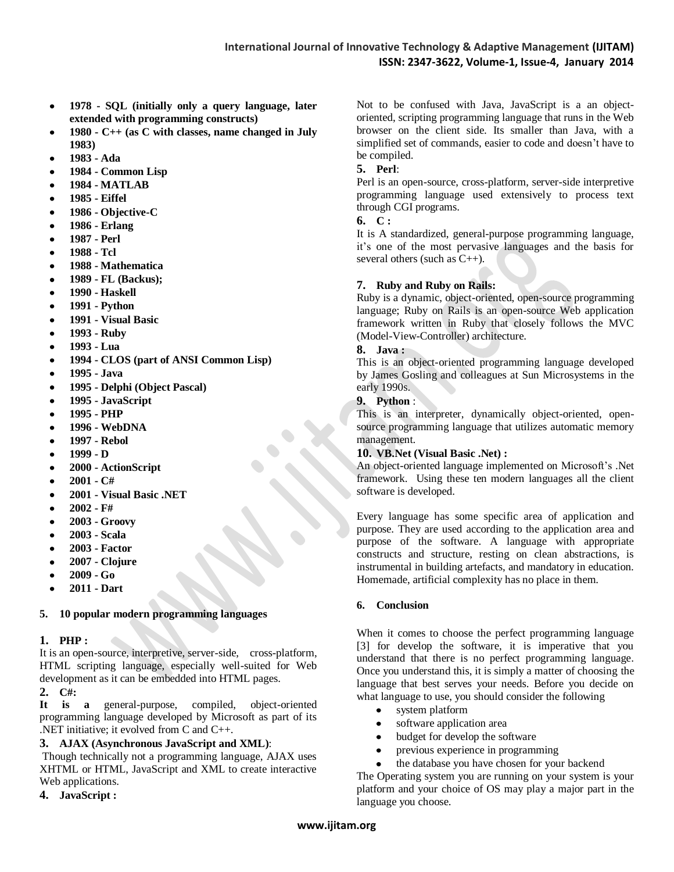- **1978 - [SQL](http://en.wikipedia.org/wiki/SQL) (initially only a query language, later**   $\bullet$ **extended with programming constructs)**
- **1980 - [C++](http://en.wikipedia.org/wiki/C%2B%2B) (a[s C with classes,](http://en.wikipedia.org/wiki/C_with_classes) name changed in July**   $\bullet$ **1983)**
- **1983 - [Ada](http://en.wikipedia.org/wiki/Ada_%28programming_language%29)**  $\bullet$
- $\bullet$ **1984 - [Common Lisp](http://en.wikipedia.org/wiki/Common_Lisp)**
- **1984 - [MATLAB](http://en.wikipedia.org/wiki/MATLAB)**  $\bullet$
- $\bullet$ **1985 - [Eiffel](http://en.wikipedia.org/wiki/Eiffel_%28programming_language%29)**
- **1986 - [Objective-C](http://en.wikipedia.org/wiki/Objective-C)**  $\bullet$
- **1986 - [Erlang](http://en.wikipedia.org/wiki/Erlang_%28programming_language%29)**  $\bullet$
- **1987 - [Perl](http://en.wikipedia.org/wiki/Perl)**  $\bullet$
- $\bullet$ **1988 - [Tcl](http://en.wikipedia.org/wiki/Tcl)**
- **1988 - [Mathematica](http://en.wikipedia.org/wiki/Mathematica)**  $\bullet$
- $\bullet$ **1989 - [FL](http://en.wikipedia.org/wiki/FL_%28programming_language%29) (Backus);**
- $\bullet$ **1990 - [Haskell](http://en.wikipedia.org/wiki/Haskell_%28programming_language%29)**
- **1991 - [Python](http://en.wikipedia.org/wiki/Python_%28programming_language%29)**  $\bullet$
- **1991 - [Visual Basic](http://en.wikipedia.org/wiki/Visual_Basic)**  $\bullet$
- $\bullet$ **1993 - [Ruby](http://en.wikipedia.org/wiki/Ruby_%28programming_language%29)**
- $\bullet$ **1993 - [Lua](http://en.wikipedia.org/wiki/Lua_%28programming_language%29)**
- **1994 - [CLOS](http://en.wikipedia.org/wiki/CLOS) (part of ANS[I Common Lisp\)](http://en.wikipedia.org/wiki/Common_Lisp)**  $\bullet$
- $\bullet$ **1995 - [Java](http://en.wikipedia.org/wiki/Java_%28programming_language%29)**
- $\bullet$ **1995 - [Delphi \(Object Pascal\)](http://en.wikipedia.org/wiki/Embarcadero_Delphi)**
- **1995 - [JavaScript](http://en.wikipedia.org/wiki/JavaScript)**  $\bullet$
- **1995 - [PHP](http://en.wikipedia.org/wiki/PHP)**  $\bullet$
- $\bullet$ **1996 - [WebDNA](http://en.wikipedia.org/wiki/WebDNA)**
- $\bullet$ **1997 - [Rebol](http://en.wikipedia.org/wiki/REBOL)**
- **1999 - [D](http://en.wikipedia.org/wiki/D_%28programming_language%29)**  $\bullet$
- **2000 - [ActionScript](http://en.wikipedia.org/wiki/ActionScript)**  $\bullet$
- **2001 - [C#](http://en.wikipedia.org/wiki/C_Sharp_%28programming_language%29)**  $\bullet$
- **2001 - [Visual Basic .NET](http://en.wikipedia.org/wiki/Visual_Basic_.NET)**  $\bullet$
- $\bullet$ **2002 - [F#](http://en.wikipedia.org/wiki/F_Sharp_%28programming_language%29)**
- **2003 - [Groovy](http://en.wikipedia.org/wiki/Groovy_%28programming_language%29)**  $\bullet$
- $\bullet$ **2003 - [Scala](http://en.wikipedia.org/wiki/Scala_%28programming_language%29)**
- $\bullet$ **2003 - [Factor](http://en.wikipedia.org/wiki/Factor_%28programming_language%29)**
- $\bullet$ **2007 - [Clojure](http://en.wikipedia.org/wiki/Clojure)**
- **2009 - [Go](http://en.wikipedia.org/wiki/Go_%28programming_language%29)**  $\bullet$
- **2011 - [Dart](http://en.wikipedia.org/wiki/Dart_%28programming_language%29)**  $\bullet$

# **5. 10 popular modern programming languages**

# **1. PHP :**

It is an open-source, interpretive, server-side, cross-platform, HTML scripting language, especially well-suited for Web development as it can be embedded into HTML pages.

**2. C#:**

**It is a** general-purpose, compiled, object-oriented programming language developed by Microsoft as part of its .NET initiative; it evolved from C and C++.

# **3. AJAX (Asynchronous JavaScript and XML)**:

Though technically not a programming language, AJAX uses XHTML or HTML, JavaScript and XML to create interactive Web applications.

**4. JavaScript :**

Not to be confused with Java, JavaScript is a an objectoriented, scripting programming language that runs in the Web browser on the client side. Its smaller than Java, with a simplified set of commands, easier to code and doesn't have to be compiled.

# **5. Perl**:

Perl is an open-source, cross-platform, server-side interpretive programming language used extensively to process text through CGI programs.

# **6. C :**

It is A standardized, general-purpose programming language, it's one of the most pervasive languages and the basis for several others (such as C++).

## **7. Ruby and Ruby on Rails:**

Ruby is a dynamic, object-oriented, open-source programming language; Ruby on Rails is an open-source Web application framework written in Ruby that closely follows the MVC (Model-View-Controller) architecture.

# **8. Java :**

This is an object-oriented programming language developed by James Gosling and colleagues at Sun Microsystems in the early 1990s.

# **9. Python** :

This is an interpreter, dynamically object-oriented, opensource programming language that utilizes automatic memory management.

## **10. VB.Net (Visual Basic .Net) :**

An object-oriented language implemented on Microsoft's .Net framework. Using these ten modern languages all the client software is developed.

Every language has some specific area of application and purpose. They are used according to the application area and purpose of the software. A language with appropriate constructs and structure, resting on clean abstractions, is instrumental in building artefacts, and mandatory in education. Homemade, artificial complexity has no place in them.

## **6. Conclusion**

When it comes to choose the perfect programming language [3] for develop the software, it is imperative that you understand that there is no perfect programming language. Once you understand this, it is simply a matter of choosing the language that best serves your needs. Before you decide on what language to use, you should consider the following

- system platform  $\bullet$
- software application area  $\bullet$
- budget for develop the software  $\bullet$
- previous experience in programming
- the database you have chosen for your backend

The Operating system you are running on your system is your platform and your choice of OS may play a major part in the language you choose.